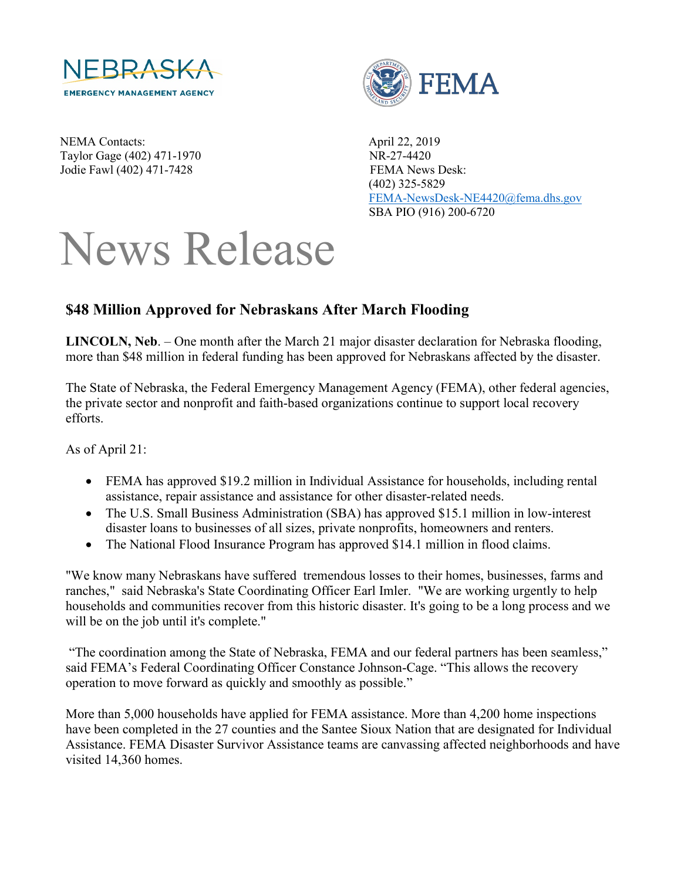

NEMA Contacts: April 22, 2019 Taylor Gage (402) 471-1970 NR-27-4420 Jodie Fawl (402) 471-7428 FEMA News Desk:



 (402) 325-5829 [FEMA-NewsDesk-NE4420@fema.dhs.gov](mailto:FEMA-NewsDesk-NE4420@fema.dhs.gov) SBA PIO (916) 200-6720

## News Release

## **\$48 Million Approved for Nebraskans After March Flooding**

**LINCOLN, Neb**. – One month after the March 21 major disaster declaration for Nebraska flooding, more than \$48 million in federal funding has been approved for Nebraskans affected by the disaster.

The State of Nebraska, the Federal Emergency Management Agency (FEMA), other federal agencies, the private sector and nonprofit and faith-based organizations continue to support local recovery efforts.

As of April 21:

- FEMA has approved \$19.2 million in Individual Assistance for households, including rental assistance, repair assistance and assistance for other disaster-related needs.
- The U.S. Small Business Administration (SBA) has approved \$15.1 million in low-interest disaster loans to businesses of all sizes, private nonprofits, homeowners and renters.
- The National Flood Insurance Program has approved \$14.1 million in flood claims.

"We know many Nebraskans have suffered tremendous losses to their homes, businesses, farms and ranches," said Nebraska's State Coordinating Officer Earl Imler. "We are working urgently to help households and communities recover from this historic disaster. It's going to be a long process and we will be on the job until it's complete."

"The coordination among the State of Nebraska, FEMA and our federal partners has been seamless," said FEMA's Federal Coordinating Officer Constance Johnson-Cage. "This allows the recovery operation to move forward as quickly and smoothly as possible."

More than 5,000 households have applied for FEMA assistance. More than 4,200 home inspections have been completed in the 27 counties and the Santee Sioux Nation that are designated for Individual Assistance. FEMA Disaster Survivor Assistance teams are canvassing affected neighborhoods and have visited 14,360 homes.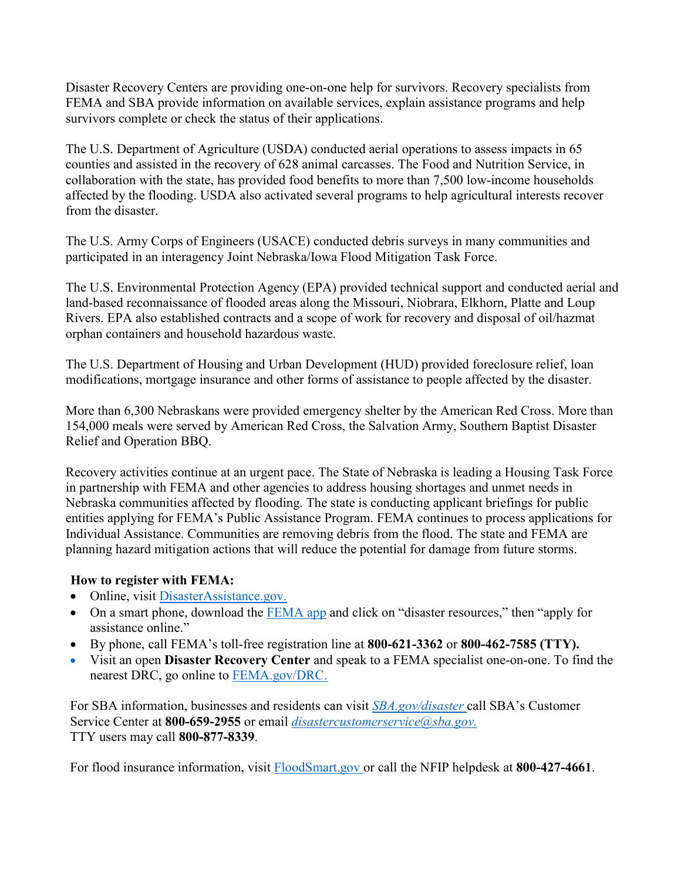Disaster Recovery Centers are providing one-on-one help for survivors. Recovery specialists from FEMA and SBA provide information on available services, explain assistance programs and help survivors complete or check the status of their applications.

The U.S. Department of Agriculture (USDA) conducted aerial operations to assess impacts in 65 counties and assisted in the recovery of 628 animal carcasses. The Food and Nutrition Service, in collaboration with the state, has provided food benefits to more than 7,500 low-income households affected by the flooding. USDA also activated several programs to help agricultural interests recover from the disaster.

The U.S. Army Corps of Engineers (USACE) conducted debris surveys in many communities and participated in an interagency Joint Nebraska/Iowa Flood Mitigation Task Force.

The U.S. Environmental Protection Agency (EPA) provided technical support and conducted aerial and land-based reconnaissance of flooded areas along the Missouri, Niobrara, Elkhorn, Platte and Loup Rivers. EPA also established contracts and a scope of work for recovery and disposal of oil/hazmat orphan containers and household hazardous waste.

The U.S. Department of Housing and Urban Development (HUD) provided foreclosure relief, loan modifications, mortgage insurance and other forms of assistance to people affected by the disaster.

More than 6,300 Nebraskans were provided emergency shelter by the American Red Cross. More than 154,000 meals were served by American Red Cross, the Salvation Army, Southern Baptist Disaster Relief and Operation BBQ.

Recovery activities continue at an urgent pace. The State of Nebraska is leading a Housing Task Force in partnership with FEMA and other agencies to address housing shortages and unmet needs in Nebraska communities affected by flooding. The state is conducting applicant briefings for public entities applying for FEMA's Public Assistance Program. FEMA continues to process applications for Individual Assistance. Communities are removing debris from the flood. The state and FEMA are planning hazard mitigation actions that will reduce the potential for damage from future storms.

## **How to register with FEMA:**

- Online, visit [DisasterAssistance.gov.](http://www.disasterassistance.gov/)
- On a smart phone, download the [FEMA app](https://www.fema.gov/mobile-app) and click on "disaster resources," then "apply for assistance online."
- By phone, call FEMA's toll-free registration line at **800-621-3362** or **800-462-7585 (TTY).**
- Visit an open **Disaster Recovery Center** and speak to a FEMA specialist one-on-one. To find the nearest DRC, go online to [FEMA.gov/DRC.](http://www.fema.gov/DRC)

For SBA information, businesses and residents can visit *[SBA.gov/disaster](http://www.sba.gov/disaster)* call SBA's Customer Service Center at **800-659-2955** or email *[disastercustomerservice@sba.gov.](mailto:disastercustomerservice@sba.gov)* TTY users may call **800-877-8339**.

For flood insurance information, visit [FloodSmart.gov o](http://www.floodsmart.gov/)r call the NFIP helpdesk at **800-427-4661**.